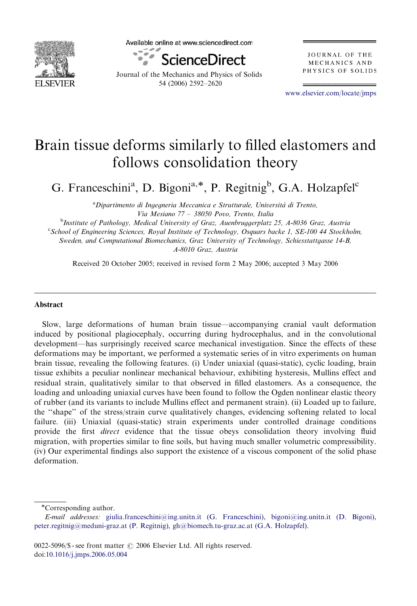

Available online at www.sciencedirect.com



Journal of the Mechanics and Physics of Solids 54 (2006) 2592–2620

**JOURNAL OF THE** MECHANICS AND PHYSICS OF SOLIDS

<www.elsevier.com/locate/jmps>

# Brain tissue deforms similarly to filled elastomers and follows consolidation theory

G. Franceschini<sup>a</sup>, D. Bigoni<sup>a,\*</sup>, P. Regitnig<sup>b</sup>, G.A. Holzapfel<sup>c</sup>

<sup>a</sup> Dipartimento di Ingegneria Meccanica e Strutturale, Università di Trento, Via Mesiano 77 – 38050 Povo, Trento, Italia

<sup>b</sup>Institute of Pathology, Medical University of Graz, Auenbruggerplatz 25, A-8036 Graz, Austria <sup>c</sup>School of Engineering Sciences, Royal Institute of Technology, Osquars backe 1, SE-100 44 Stockholm, Sweden, and Computational Biomechanics, Graz University of Technology, Schiesstattgasse 14-B, A-8010 Graz, Austria

Received 20 October 2005; received in revised form 2 May 2006; accepted 3 May 2006

## Abstract

Slow, large deformations of human brain tissue—accompanying cranial vault deformation induced by positional plagiocephaly, occurring during hydrocephalus, and in the convolutional development—has surprisingly received scarce mechanical investigation. Since the effects of these deformations may be important, we performed a systematic series of in vitro experiments on human brain tissue, revealing the following features. (i) Under uniaxial (quasi-static), cyclic loading, brain tissue exhibits a peculiar nonlinear mechanical behaviour, exhibiting hysteresis, Mullins effect and residual strain, qualitatively similar to that observed in filled elastomers. As a consequence, the loading and unloading uniaxial curves have been found to follow the Ogden nonlinear elastic theory of rubber (and its variants to include Mullins effect and permanent strain). (ii) Loaded up to failure, the ''shape'' of the stress/strain curve qualitatively changes, evidencing softening related to local failure. (iii) Uniaxial (quasi-static) strain experiments under controlled drainage conditions provide the first direct evidence that the tissue obeys consolidation theory involving fluid migration, with properties similar to fine soils, but having much smaller volumetric compressibility. (iv) Our experimental findings also support the existence of a viscous component of the solid phase deformation.

0022-5096/\$ - see front matter  $\odot$  2006 Elsevier Ltd. All rights reserved. doi[:10.1016/j.jmps.2006.05.004](dx.doi.org/10.1016/j.jmps.2006.05.004)

Corresponding author.

E-mail addresses: [giulia.franceschini@ing.unitn.it \(G. Franceschini\),](mailto:bigoni@ing.unitn.it) bigoni@ing.unitn.it (D. Bigoni), [peter.regitnig@meduni-graz.at \(P. Regitnig\),](mailto:gh@biomech.tu-graz.ac.at) gh@biomech.tu-graz.ac.at (G.A. Holzapfel).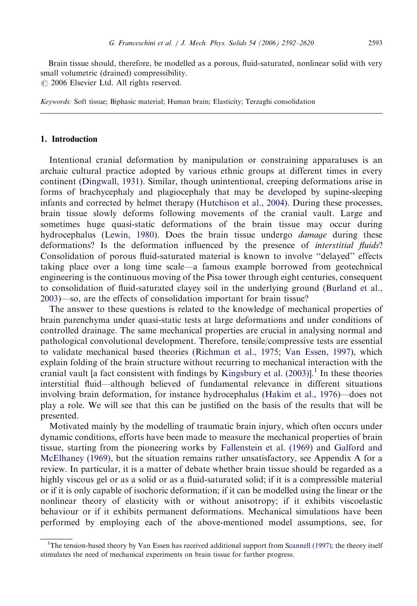Brain tissue should, therefore, be modelled as a porous, fluid-saturated, nonlinear solid with very small volumetric (drained) compressibility.  $O$  2006 Elsevier Ltd. All rights reserved.

Keywords: Soft tissue; Biphasic material; Human brain; Elasticity; Terzaghi consolidation

## 1. Introduction

Intentional cranial deformation by manipulation or constraining apparatuses is an archaic cultural practice adopted by various ethnic groups at different times in every continent [\(Dingwall, 1931\)](#page-27-0). Similar, though unintentional, creeping deformations arise in forms of brachycephaly and plagiocephaly that may be developed by supine-sleeping infants and corrected by helmet therapy [\(Hutchison et al., 2004](#page-27-0)). During these processes, brain tissue slowly deforms following movements of the cranial vault. Large and sometimes huge quasi-static deformations of the brain tissue may occur during hydrocephalus [\(Lewin, 1980](#page-28-0)). Does the brain tissue undergo *damage* during these deformations? Is the deformation influenced by the presence of *interstitial fluids*? Consolidation of porous fluid-saturated material is known to involve ''delayed'' effects taking place over a long time scale—a famous example borrowed from geotechnical engineering is the continuous moving of the Pisa tower through eight centuries, consequent to consolidation of fluid-saturated clayey soil in the underlying ground ([Burland et al.,](#page-26-0) [2003](#page-26-0))—so, are the effects of consolidation important for brain tissue?

The answer to these questions is related to the knowledge of mechanical properties of brain parenchyma under quasi-static tests at large deformations and under conditions of controlled drainage. The same mechanical properties are crucial in analysing normal and pathological convolutional development. Therefore, tensile/compressive tests are essential to validate mechanical based theories [\(Richman et al., 1975;](#page-28-0) [Van Essen, 1997\)](#page-28-0), which explain folding of the brain structure without recurring to mechanical interaction with the cranial vault [a fact consistent with findings by Kingsbury et al.  $(2003)$ ].<sup>1</sup> In these theories interstitial fluid—although believed of fundamental relevance in different situations involving brain deformation, for instance hydrocephalus ([Hakim et al., 1976\)](#page-27-0)—does not play a role. We will see that this can be justified on the basis of the results that will be presented.

Motivated mainly by the modelling of traumatic brain injury, which often occurs under dynamic conditions, efforts have been made to measure the mechanical properties of brain tissue, starting from the pioneering works by [Fallenstein et al. \(1969\)](#page-27-0) and [Galford and](#page-27-0) [McElhaney \(1969\)](#page-27-0), but the situation remains rather unsatisfactory, see Appendix A for a review. In particular, it is a matter of debate whether brain tissue should be regarded as a highly viscous gel or as a solid or as a fluid-saturated solid; if it is a compressible material or if it is only capable of isochoric deformation; if it can be modelled using the linear or the nonlinear theory of elasticity with or without anisotropy; if it exhibits viscoelastic behaviour or if it exhibits permanent deformations. Mechanical simulations have been performed by employing each of the above-mentioned model assumptions, see, for

<sup>&</sup>lt;sup>1</sup>The tension-based theory by Van Essen has received additional support from [Scannell \(1997\)](#page-28-0); the theory itself stimulates the need of mechanical experiments on brain tissue for further progress.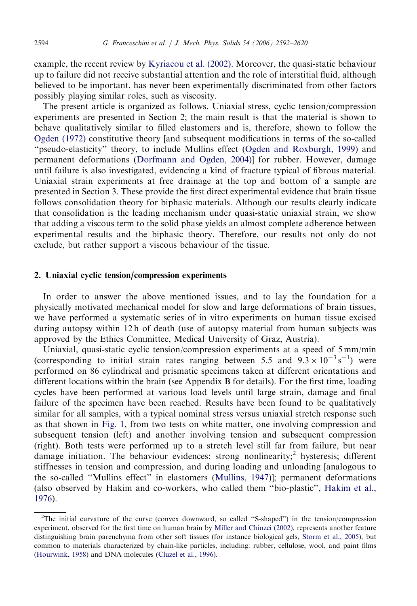example, the recent review by [Kyriacou et al. \(2002\)](#page-28-0). Moreover, the quasi-static behaviour up to failure did not receive substantial attention and the role of interstitial fluid, although believed to be important, has never been experimentally discriminated from other factors possibly playing similar roles, such as viscosity.

The present article is organized as follows. Uniaxial stress, cyclic tension/compression experiments are presented in Section 2; the main result is that the material is shown to behave qualitatively similar to filled elastomers and is, therefore, shown to follow the [Ogden \(1972\)](#page-28-0) constitutive theory [and subsequent modifications in terms of the so-called ''pseudo-elasticity'' theory, to include Mullins effect [\(Ogden and Roxburgh, 1999\)](#page-28-0) and permanent deformations [\(Dorfmann and Ogden, 2004](#page-27-0))] for rubber. However, damage until failure is also investigated, evidencing a kind of fracture typical of fibrous material. Uniaxial strain experiments at free drainage at the top and bottom of a sample are presented in Section 3. These provide the first direct experimental evidence that brain tissue follows consolidation theory for biphasic materials. Although our results clearly indicate that consolidation is the leading mechanism under quasi-static uniaxial strain, we show that adding a viscous term to the solid phase yields an almost complete adherence between experimental results and the biphasic theory. Therefore, our results not only do not exclude, but rather support a viscous behaviour of the tissue.

# 2. Uniaxial cyclic tension/compression experiments

In order to answer the above mentioned issues, and to lay the foundation for a physically motivated mechanical model for slow and large deformations of brain tissues, we have performed a systematic series of in vitro experiments on human tissue excised during autopsy within 12 h of death (use of autopsy material from human subjects was approved by the Ethics Committee, Medical University of Graz, Austria).

Uniaxial, quasi-static cyclic tension/compression experiments at a speed of 5 mm/min (corresponding to initial strain rates ranging between 5.5 and  $9.3 \times 10^{-3} \text{ s}^{-1}$ ) were performed on 86 cylindrical and prismatic specimens taken at different orientations and different locations within the brain (see Appendix B for details). For the first time, loading cycles have been performed at various load levels until large strain, damage and final failure of the specimen have been reached. Results have been found to be qualitatively similar for all samples, with a typical nominal stress versus uniaxial stretch response such as that shown in [Fig. 1,](#page-3-0) from two tests on white matter, one involving compression and subsequent tension (left) and another involving tension and subsequent compression (right). Both tests were performed up to a stretch level still far from failure, but near damage initiation. The behaviour evidences: strong nonlinearity;<sup>2</sup> hysteresis; different stiffnesses in tension and compression, and during loading and unloading [analogous to the so-called ''Mullins effect'' in elastomers [\(Mullins, 1947\)](#page-28-0)]; permanent deformations (also observed by Hakim and co-workers, who called them ''bio-plastic'', [Hakim et al.,](#page-27-0) [1976](#page-27-0)).

<sup>2</sup> The initial curvature of the curve (convex downward, so called ''S-shaped'') in the tension/compression experiment, observed for the first time on human brain by [Miller and Chinzei \(2002\),](#page-28-0) represents another feature distinguishing brain parenchyma from other soft tissues (for instance biological gels, [Storm et al., 2005\)](#page-28-0), but common to materials characterized by chain-like particles, including: rubber, cellulose, wool, and paint films [\(Hourwink, 1958\)](#page-27-0) and DNA molecules ([Cluzel et al., 1996\)](#page-27-0).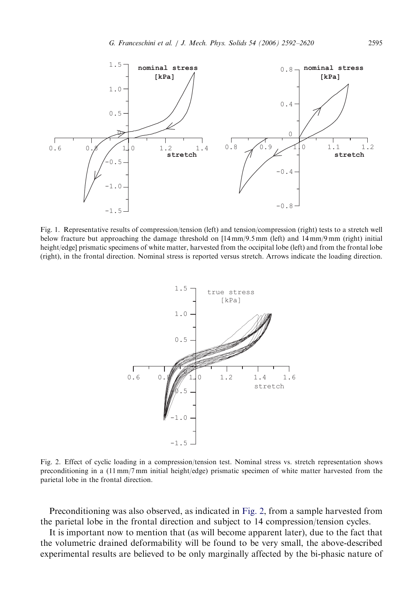<span id="page-3-0"></span>

Fig. 1. Representative results of compression/tension (left) and tension/compression (right) tests to a stretch well below fracture but approaching the damage threshold on [14 mm/9.5 mm (left) and 14 mm/9 mm (right) initial height/edge] prismatic specimens of white matter, harvested from the occipital lobe (left) and from the frontal lobe (right), in the frontal direction. Nominal stress is reported versus stretch. Arrows indicate the loading direction.



Fig. 2. Effect of cyclic loading in a compression/tension test. Nominal stress vs. stretch representation shows preconditioning in a (11 mm/7 mm initial height/edge) prismatic specimen of white matter harvested from the parietal lobe in the frontal direction.

Preconditioning was also observed, as indicated in Fig. 2, from a sample harvested from the parietal lobe in the frontal direction and subject to 14 compression/tension cycles.

It is important now to mention that (as will become apparent later), due to the fact that the volumetric drained deformability will be found to be very small, the above-described experimental results are believed to be only marginally affected by the bi-phasic nature of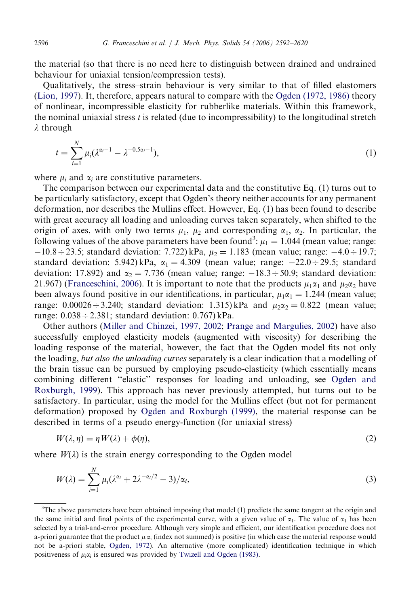the material (so that there is no need here to distinguish between drained and undrained behaviour for uniaxial tension/compression tests).

Qualitatively, the stress–strain behaviour is very similar to that of filled elastomers ([Lion, 1997](#page-28-0)). It, therefore, appears natural to compare with the [Ogden \(1972, 1986\)](#page-28-0) theory of nonlinear, incompressible elasticity for rubberlike materials. Within this framework, the nominal uniaxial stress  $t$  is related (due to incompressibility) to the longitudinal stretch  $\lambda$  through

$$
t = \sum_{i=1}^{N} \mu_i (\lambda^{\alpha_i - 1} - \lambda^{-0.5\alpha_i - 1}),
$$
\n(1)

where  $\mu_i$  and  $\alpha_i$  are constitutive parameters.

The comparison between our experimental data and the constitutive Eq. (1) turns out to be particularly satisfactory, except that Ogden's theory neither accounts for any permanent deformation, nor describes the Mullins effect. However, Eq. (1) has been found to describe with great accuracy all loading and unloading curves taken separately, when shifted to the origin of axes, with only two terms  $\mu_1$ ,  $\mu_2$  and corresponding  $\alpha_1$ ,  $\alpha_2$ . In particular, the following values of the above parameters have been found<sup>3</sup>:  $\mu_1 = 1.044$  (mean value; range:  $-10.8 \div 23.5$ ; standard deviation: 7.722) kPa,  $\mu_2 = 1.183$  (mean value; range:  $-4.0 \div 19.7$ ; standard deviation: 5.942) kPa,  $\alpha_1 = 4.309$  (mean value; range:  $-22.0 \div 29.5$ ; standard deviation: 17.892) and  $\alpha_2 = 7.736$  (mean value; range:  $-18.3 \div 50.9$ ; standard deviation: 21.967) ([Franceschini, 2006\)](#page-27-0). It is important to note that the products  $\mu_1\alpha_1$  and  $\mu_2\alpha_2$  have been always found positive in our identifications, in particular,  $\mu_1 \alpha_1 = 1.244$  (mean value; range:  $0.00026 \div 3.240$ ; standard deviation: 1.315) kPa and  $\mu_2 \alpha_2 = 0.822$  (mean value; range:  $0.038 \div 2.381$ ; standard deviation: 0.767) kPa.

Other authors [\(Miller and Chinzei, 1997, 2002](#page-28-0); [Prange and Margulies, 2002\)](#page-28-0) have also successfully employed elasticity models (augmented with viscosity) for describing the loading response of the material, however, the fact that the Ogden model fits not only the loading, but also the unloading curves separately is a clear indication that a modelling of the brain tissue can be pursued by employing pseudo-elasticity (which essentially means combining different ''elastic'' responses for loading and unloading, see [Ogden and](#page-28-0) [Roxburgh, 1999](#page-28-0)). This approach has never previously attempted, but turns out to be satisfactory. In particular, using the model for the Mullins effect (but not for permanent deformation) proposed by [Ogden and Roxburgh \(1999\),](#page-28-0) the material response can be described in terms of a pseudo energy-function (for uniaxial stress)

$$
W(\lambda, \eta) = \eta W(\lambda) + \phi(\eta), \tag{2}
$$

where  $W(\lambda)$  is the strain energy corresponding to the Ogden model

$$
W(\lambda) = \sum_{i=1}^{N} \mu_i (\lambda^{\alpha_i} + 2\lambda^{-\alpha_i/2} - 3)/\alpha_i,
$$
\n(3)

 $3$ The above parameters have been obtained imposing that model (1) predicts the same tangent at the origin and the same initial and final points of the experimental curve, with a given value of  $\alpha_1$ . The value of  $\alpha_1$  has been selected by a trial-and-error procedure. Although very simple and efficient, our identification procedure does not a-priori guarantee that the product  $\mu_i \alpha_i$  (index not summed) is positive (in which case the material response would not be a-priori stable, [Ogden, 1972\)](#page-28-0). An alternative (more complicated) identification technique in which positiveness of  $\mu_i \alpha_i$  is ensured was provided by [Twizell and Ogden \(1983\).](#page-28-0)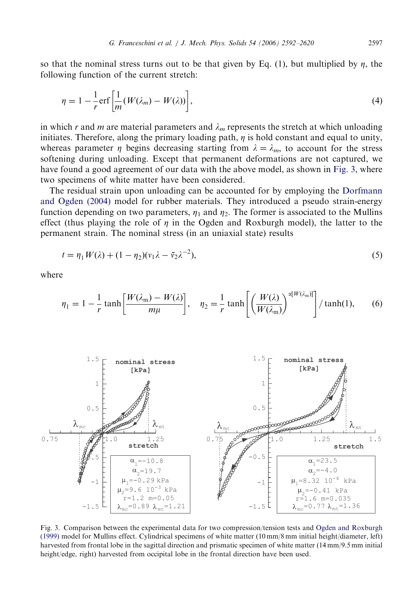<span id="page-5-0"></span>so that the nominal stress turns out to be that given by Eq. (1), but multiplied by  $\eta$ , the following function of the current stretch:

$$
\eta = 1 - \frac{1}{r} \operatorname{erf}\left[\frac{1}{m}(W(\lambda_m) - W(\lambda))\right],\tag{4}
$$

in which r and m are material parameters and  $\lambda_m$  represents the stretch at which unloading initiates. Therefore, along the primary loading path,  $\eta$  is hold constant and equal to unity, whereas parameter  $\eta$  begins decreasing starting from  $\lambda = \lambda_m$ , to account for the stress softening during unloading. Except that permanent deformations are not captured, we have found a good agreement of our data with the above model, as shown in Fig. 3, where two specimens of white matter have been considered.

The residual strain upon unloading can be accounted for by employing the [Dorfmann](#page-27-0) [and Ogden \(2004\)](#page-27-0) model for rubber materials. They introduced a pseudo strain-energy function depending on two parameters,  $\eta_1$  and  $\eta_2$ . The former is associated to the Mullins effect (thus playing the role of  $\eta$  in the Ogden and Roxburgh model), the latter to the permanent strain. The nominal stress (in an uniaxial state) results

$$
t = \eta_1 W(\lambda) + (1 - \eta_2)(v_1 \lambda - \bar{v}_2 \lambda^{-2}),
$$
\n(5)

where

$$
\eta_1 = 1 - \frac{1}{r} \tanh\left[\frac{W(\lambda_m) - W(\lambda)}{m\mu}\right], \quad \eta_2 = \frac{1}{r} \tanh\left[\left(\frac{W(\lambda)}{W(\lambda_m)}\right)^{\alpha[W(\lambda_m)]}\right] / \tanh(1), \quad (6)
$$



Fig. 3. Comparison between the experimental data for two compression/tension tests and [Ogden and Roxburgh](#page-28-0) [\(1999\)](#page-28-0) model for Mullins effect. Cylindrical specimens of white matter (10 mm/8 mm initial height/diameter, left) harvested from frontal lobe in the sagittal direction and prismatic specimen of white matter (14 mm/9.5 mm initial height/edge, right) harvested from occipital lobe in the frontal direction have been used.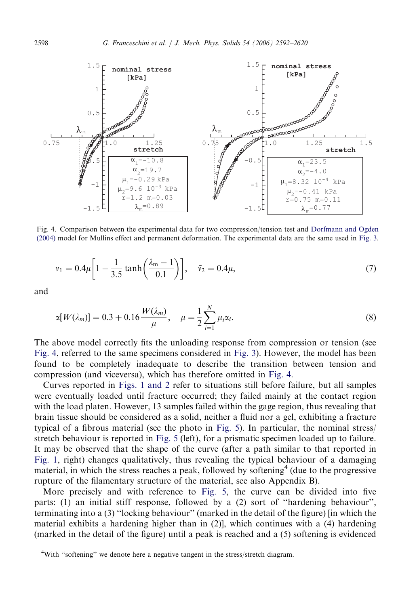

Fig. 4. Comparison between the experimental data for two compression/tension test and [Dorfmann and Ogden](#page-27-0) [\(2004\)](#page-27-0) model for Mullins effect and permanent deformation. The experimental data are the same used in [Fig. 3.](#page-5-0)

$$
v_1 = 0.4\mu \left[ 1 - \frac{1}{3.5} \tanh\left(\frac{\lambda_m - 1}{0.1}\right) \right], \quad \bar{v}_2 = 0.4\mu,
$$
 (7)

and

$$
\alpha[W(\lambda_m)] = 0.3 + 0.16 \frac{W(\lambda_m)}{\mu}, \quad \mu = \frac{1}{2} \sum_{i=1}^N \mu_i \alpha_i.
$$
 (8)

The above model correctly fits the unloading response from compression or tension (see Fig. 4, referred to the same specimens considered in [Fig. 3](#page-5-0)). However, the model has been found to be completely inadequate to describe the transition between tension and compression (and viceversa), which has therefore omitted in Fig. 4.

Curves reported in [Figs. 1 and 2](#page-3-0) refer to situations still before failure, but all samples were eventually loaded until fracture occurred; they failed mainly at the contact region with the load platen. However, 13 samples failed within the gage region, thus revealing that brain tissue should be considered as a solid, neither a fluid nor a gel, exhibiting a fracture typical of a fibrous material (see the photo in [Fig. 5\)](#page-7-0). In particular, the nominal stress/ stretch behaviour is reported in [Fig. 5](#page-7-0) (left), for a prismatic specimen loaded up to failure. It may be observed that the shape of the curve (after a path similar to that reported in [Fig. 1,](#page-3-0) right) changes qualitatively, thus revealing the typical behaviour of a damaging material, in which the stress reaches a peak, followed by softening<sup>4</sup> (due to the progressive rupture of the filamentary structure of the material, see also Appendix B).

More precisely and with reference to [Fig. 5,](#page-7-0) the curve can be divided into five parts: (1) an initial stiff response, followed by a (2) sort of ''hardening behaviour'', terminating into a (3) ''locking behaviour'' (marked in the detail of the figure) [in which the material exhibits a hardening higher than in  $(2)$ ], which continues with a  $(4)$  hardening (marked in the detail of the figure) until a peak is reached and a (5) softening is evidenced

<sup>&</sup>lt;sup>4</sup>With "softening" we denote here a negative tangent in the stress/stretch diagram.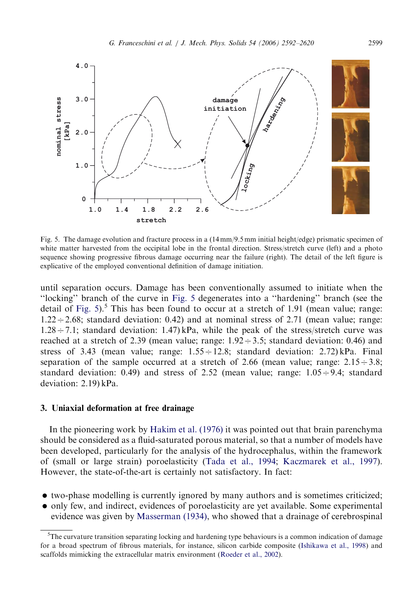<span id="page-7-0"></span>

Fig. 5. The damage evolution and fracture process in a (14 mm/9.5 mm initial height/edge) prismatic specimen of white matter harvested from the occipital lobe in the frontal direction. Stress/stretch curve (left) and a photo sequence showing progressive fibrous damage occurring near the failure (right). The detail of the left figure is explicative of the employed conventional definition of damage initiation.

until separation occurs. Damage has been conventionally assumed to initiate when the ''locking'' branch of the curve in Fig. 5 degenerates into a ''hardening'' branch (see the detail of Fig.  $5$ ).<sup>5</sup> This has been found to occur at a stretch of 1.91 (mean value; range:  $1.22 \div 2.68$ ; standard deviation: 0.42) and at nominal stress of 2.71 (mean value; range:  $1.28 \div 7.1$ ; standard deviation: 1.47) kPa, while the peak of the stress/stretch curve was reached at a stretch of 2.39 (mean value; range:  $1.92 \div 3.5$ ; standard deviation: 0.46) and stress of 3.43 (mean value; range:  $1.55 \div 12.8$ ; standard deviation: 2.72) kPa. Final separation of the sample occurred at a stretch of 2.66 (mean value; range:  $2.15 \div 3.8$ ; standard deviation: 0.49) and stress of 2.52 (mean value; range:  $1.05 \div 9.4$ ; standard deviation: 2.19) kPa.

# 3. Uniaxial deformation at free drainage

In the pioneering work by [Hakim et al. \(1976\)](#page-27-0) it was pointed out that brain parenchyma should be considered as a fluid-saturated porous material, so that a number of models have been developed, particularly for the analysis of the hydrocephalus, within the framework of (small or large strain) poroelasticity ([Tada et al., 1994;](#page-28-0) [Kaczmarek et al., 1997](#page-27-0)). However, the state-of-the-art is certainly not satisfactory. In fact:

- two-phase modelling is currently ignored by many authors and is sometimes criticized;
- only few, and indirect, evidences of poroelasticity are yet available. Some experimental evidence was given by [Masserman \(1934\)](#page-28-0), who showed that a drainage of cerebrospinal

<sup>&</sup>lt;sup>5</sup>The curvature transition separating locking and hardening type behaviours is a common indication of damage for a broad spectrum of fibrous materials, for instance, silicon carbide composite ([Ishikawa et al., 1998\)](#page-27-0) and scaffolds mimicking the extracellular matrix environment [\(Roeder et al., 2002\)](#page-28-0).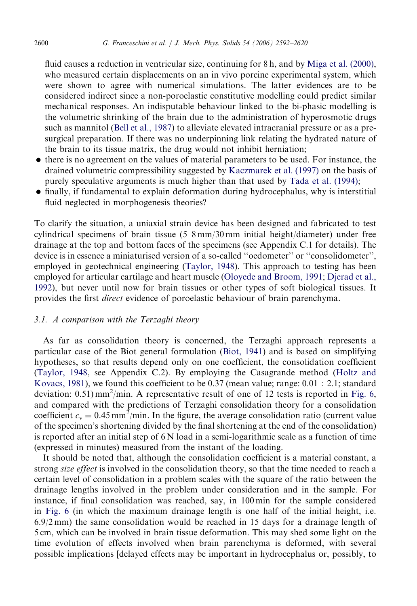fluid causes a reduction in ventricular size, continuing for 8 h, and by [Miga et al. \(2000\),](#page-28-0) who measured certain displacements on an in vivo porcine experimental system, which were shown to agree with numerical simulations. The latter evidences are to be considered indirect since a non-poroelastic constitutive modelling could predict similar mechanical responses. An indisputable behaviour linked to the bi-phasic modelling is the volumetric shrinking of the brain due to the administration of hyperosmotic drugs such as mannitol ([Bell et al., 1987\)](#page-26-0) to alleviate elevated intracranial pressure or as a presurgical preparation. If there was no underpinning link relating the hydrated nature of the brain to its tissue matrix, the drug would not inhibit herniation;

- there is no agreement on the values of material parameters to be used. For instance, the drained volumetric compressibility suggested by [Kaczmarek et al. \(1997\)](#page-27-0) on the basis of purely speculative arguments is much higher than that used by [Tada et al. \(1994\);](#page-28-0)
- finally, if fundamental to explain deformation during hydrocephalus, why is interstitial fluid neglected in morphogenesis theories?

To clarify the situation, a uniaxial strain device has been designed and fabricated to test cylindrical specimens of brain tissue (5–8 mm/30 mm initial height/diameter) under free drainage at the top and bottom faces of the specimens (see Appendix C.1 for details). The device is in essence a miniaturised version of a so-called ''oedometer'' or ''consolidometer'', employed in geotechnical engineering [\(Taylor, 1948](#page-28-0)). This approach to testing has been employed for articular cartilage and heart muscle ([Oloyede and Broom, 1991](#page-28-0); [Djerad et al.,](#page-27-0) [1992](#page-27-0)), but never until now for brain tissues or other types of soft biological tissues. It provides the first direct evidence of poroelastic behaviour of brain parenchyma.

# 3.1. A comparison with the Terzaghi theory

As far as consolidation theory is concerned, the Terzaghi approach represents a particular case of the Biot general formulation [\(Biot, 1941\)](#page-26-0) and is based on simplifying hypotheses, so that results depend only on one coefficient, the consolidation coefficient ([Taylor, 1948](#page-28-0), see Appendix C.2). By employing the Casagrande method [\(Holtz and](#page-27-0) [Kovacs, 1981](#page-27-0)), we found this coefficient to be 0.37 (mean value; range:  $0.01 \div 2.1$ ; standard deviation: 0.51) mm<sup>2</sup>/min. A representative result of one of 12 tests is reported in [Fig. 6,](#page-9-0) and compared with the predictions of Terzaghi consolidation theory for a consolidation coefficient  $c_v = 0.45 \text{ mm}^2/\text{min}$ . In the figure, the average consolidation ratio (current value of the specimen's shortening divided by the final shortening at the end of the consolidation) is reported after an initial step of 6 N load in a semi-logarithmic scale as a function of time (expressed in minutes) measured from the instant of the loading.

It should be noted that, although the consolidation coefficient is a material constant, a strong *size effect* is involved in the consolidation theory, so that the time needed to reach a certain level of consolidation in a problem scales with the square of the ratio between the drainage lengths involved in the problem under consideration and in the sample. For instance, if final consolidation was reached, say, in 100 min for the sample considered in [Fig. 6](#page-9-0) (in which the maximum drainage length is one half of the initial height, i.e. 6.9/2 mm) the same consolidation would be reached in 15 days for a drainage length of 5 cm, which can be involved in brain tissue deformation. This may shed some light on the time evolution of effects involved when brain parenchyma is deformed, with several possible implications [delayed effects may be important in hydrocephalus or, possibly, to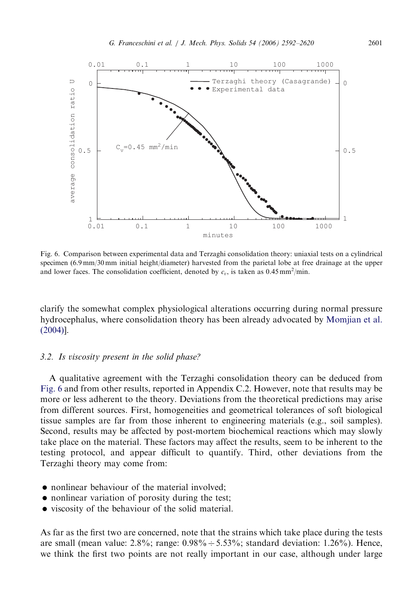<span id="page-9-0"></span>

Fig. 6. Comparison between experimental data and Terzaghi consolidation theory: uniaxial tests on a cylindrical specimen (6.9 mm/30 mm initial height/diameter) harvested from the parietal lobe at free drainage at the upper and lower faces. The consolidation coefficient, denoted by  $c_v$ , is taken as 0.45 mm<sup>2</sup>/min.

clarify the somewhat complex physiological alterations occurring during normal pressure hydrocephalus, where consolidation theory has been already advocated by [Momjian et al.](#page-28-0) [\(2004\)](#page-28-0)].

### 3.2. Is viscosity present in the solid phase?

A qualitative agreement with the Terzaghi consolidation theory can be deduced from Fig. 6 and from other results, reported in Appendix C.2. However, note that results may be more or less adherent to the theory. Deviations from the theoretical predictions may arise from different sources. First, homogeneities and geometrical tolerances of soft biological tissue samples are far from those inherent to engineering materials (e.g., soil samples). Second, results may be affected by post-mortem biochemical reactions which may slowly take place on the material. These factors may affect the results, seem to be inherent to the testing protocol, and appear difficult to quantify. Third, other deviations from the Terzaghi theory may come from:

- nonlinear behaviour of the material involved:
- nonlinear variation of porosity during the test;
- viscosity of the behaviour of the solid material.

As far as the first two are concerned, note that the strains which take place during the tests are small (mean value:  $2.8\%$ ; range:  $0.98\% \div 5.53\%$ ; standard deviation: 1.26%). Hence, we think the first two points are not really important in our case, although under large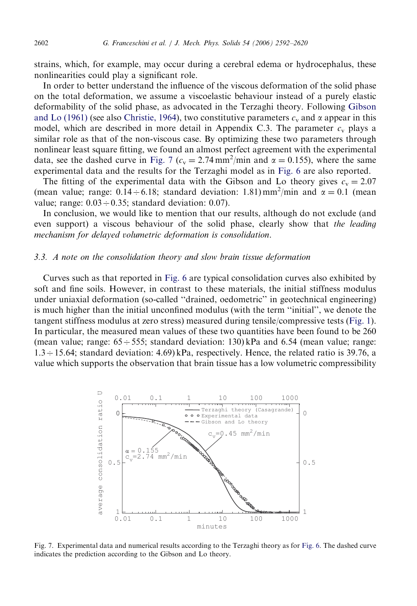<span id="page-10-0"></span>strains, which, for example, may occur during a cerebral edema or hydrocephalus, these nonlinearities could play a significant role.

In order to better understand the influence of the viscous deformation of the solid phase on the total deformation, we assume a viscoelastic behaviour instead of a purely elastic deformability of the solid phase, as advocated in the Terzaghi theory. Following [Gibson](#page-27-0) [and Lo \(1961\)](#page-27-0) (see also [Christie, 1964\)](#page-27-0), two constitutive parameters  $c<sub>v</sub>$  and  $\alpha$  appear in this model, which are described in more detail in Appendix C.3. The parameter  $c<sub>v</sub>$  plays a similar role as that of the non-viscous case. By optimizing these two parameters through nonlinear least square fitting, we found an almost perfect agreement with the experimental data, see the dashed curve in Fig. 7 ( $c_v = 2.74 \text{ mm}^2/\text{min}$  and  $\alpha = 0.155$ ), where the same experimental data and the results for the Terzaghi model as in [Fig. 6](#page-9-0) are also reported.

The fitting of the experimental data with the Gibson and Lo theory gives  $c_v = 2.07$ (mean value; range:  $0.14 \div 6.18$ ; standard deviation: 1.81) mm<sup>2</sup>/min and  $\alpha = 0.1$  (mean value; range:  $0.03 \div 0.35$ ; standard deviation: 0.07).

In conclusion, we would like to mention that our results, although do not exclude (and even support) a viscous behaviour of the solid phase, clearly show that the leading mechanism for delayed volumetric deformation is consolidation.

# 3.3. A note on the consolidation theory and slow brain tissue deformation

Curves such as that reported in [Fig. 6](#page-9-0) are typical consolidation curves also exhibited by soft and fine soils. However, in contrast to these materials, the initial stiffness modulus under uniaxial deformation (so-called ''drained, oedometric'' in geotechnical engineering) is much higher than the initial unconfined modulus (with the term ''initial'', we denote the tangent stiffness modulus at zero stress) measured during tensile/compressive tests ([Fig. 1](#page-3-0)). In particular, the measured mean values of these two quantities have been found to be 260 (mean value; range:  $65 \div 555$ ; standard deviation: 130) kPa and 6.54 (mean value; range:  $1.3 \div 15.64$ ; standard deviation: 4.69) kPa, respectively. Hence, the related ratio is 39.76, a value which supports the observation that brain tissue has a low volumetric compressibility



Fig. 7. Experimental data and numerical results according to the Terzaghi theory as for [Fig. 6](#page-9-0). The dashed curve indicates the prediction according to the Gibson and Lo theory.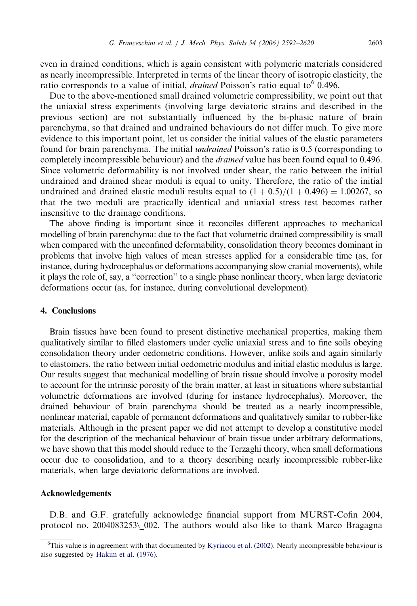even in drained conditions, which is again consistent with polymeric materials considered as nearly incompressible. Interpreted in terms of the linear theory of isotropic elasticity, the ratio corresponds to a value of initial, *drained* Poisson's ratio equal to  $60.496$ .

Due to the above-mentioned small drained volumetric compressibility, we point out that the uniaxial stress experiments (involving large deviatoric strains and described in the previous section) are not substantially influenced by the bi-phasic nature of brain parenchyma, so that drained and undrained behaviours do not differ much. To give more evidence to this important point, let us consider the initial values of the elastic parameters found for brain parenchyma. The initial undrained Poisson's ratio is 0.5 (corresponding to completely incompressible behaviour) and the drained value has been found equal to 0.496. Since volumetric deformability is not involved under shear, the ratio between the initial undrained and drained shear moduli is equal to unity. Therefore, the ratio of the initial undrained and drained elastic moduli results equal to  $(1 + 0.5)/(1 + 0.496) = 1.00267$ , so that the two moduli are practically identical and uniaxial stress test becomes rather insensitive to the drainage conditions.

The above finding is important since it reconciles different approaches to mechanical modelling of brain parenchyma: due to the fact that volumetric drained compressibility is small when compared with the unconfined deformability, consolidation theory becomes dominant in problems that involve high values of mean stresses applied for a considerable time (as, for instance, during hydrocephalus or deformations accompanying slow cranial movements), while it plays the role of, say, a ''correction'' to a single phase nonlinear theory, when large deviatoric deformations occur (as, for instance, during convolutional development).

# 4. Conclusions

Brain tissues have been found to present distinctive mechanical properties, making them qualitatively similar to filled elastomers under cyclic uniaxial stress and to fine soils obeying consolidation theory under oedometric conditions. However, unlike soils and again similarly to elastomers, the ratio between initial oedometric modulus and initial elastic modulus is large. Our results suggest that mechanical modelling of brain tissue should involve a porosity model to account for the intrinsic porosity of the brain matter, at least in situations where substantial volumetric deformations are involved (during for instance hydrocephalus). Moreover, the drained behaviour of brain parenchyma should be treated as a nearly incompressible, nonlinear material, capable of permanent deformations and qualitatively similar to rubber-like materials. Although in the present paper we did not attempt to develop a constitutive model for the description of the mechanical behaviour of brain tissue under arbitrary deformations, we have shown that this model should reduce to the Terzaghi theory, when small deformations occur due to consolidation, and to a theory describing nearly incompressible rubber-like materials, when large deviatoric deformations are involved.

## Acknowledgements

D.B. and G.F. gratefully acknowledge financial support from MURST-Cofin 2004, protocol no. 2004083253*\*\_002. The authors would also like to thank Marco Bragagna

<sup>6</sup> This value is in agreement with that documented by [Kyriacou et al. \(2002\)](#page-28-0). Nearly incompressible behaviour is also suggested by [Hakim et al. \(1976\).](#page-27-0)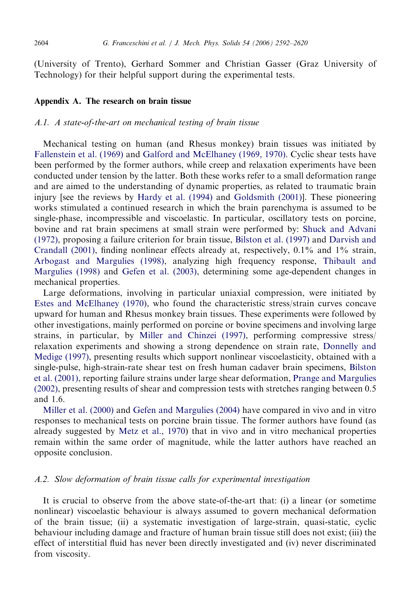(University of Trento), Gerhard Sommer and Christian Gasser (Graz University of Technology) for their helpful support during the experimental tests.

# Appendix A. The research on brain tissue

# A.1. A state-of-the-art on mechanical testing of brain tissue

Mechanical testing on human (and Rhesus monkey) brain tissues was initiated by [Fallenstein et al. \(1969\)](#page-27-0) and [Galford and McElhaney \(1969, 1970\)](#page-27-0). Cyclic shear tests have been performed by the former authors, while creep and relaxation experiments have been conducted under tension by the latter. Both these works refer to a small deformation range and are aimed to the understanding of dynamic properties, as related to traumatic brain injury [see the reviews by [Hardy et al. \(1994\)](#page-27-0) and [Goldsmith \(2001\)](#page-27-0)]. These pioneering works stimulated a continued research in which the brain parenchyma is assumed to be single-phase, incompressible and viscoelastic. In particular, oscillatory tests on porcine, bovine and rat brain specimens at small strain were performed by: [Shuck and Advani](#page-28-0) [\(1972\),](#page-28-0) proposing a failure criterion for brain tissue, [Bilston et al. \(1997\)](#page-26-0) and [Darvish and](#page-27-0) [Crandall \(2001\)](#page-27-0), finding nonlinear effects already at, respectively, 0.1% and 1% strain, [Arbogast and Margulies \(1998\)](#page-26-0), analyzing high frequency response, [Thibault and](#page-28-0) [Margulies \(1998\)](#page-28-0) and [Gefen et al. \(2003\),](#page-27-0) determining some age-dependent changes in mechanical properties.

Large deformations, involving in particular uniaxial compression, were initiated by [Estes and McElhaney \(1970\),](#page-27-0) who found the characteristic stress/strain curves concave upward for human and Rhesus monkey brain tissues. These experiments were followed by other investigations, mainly performed on porcine or bovine specimens and involving large strains, in particular, by [Miller and Chinzei \(1997\),](#page-28-0) performing compressive stress/ relaxation experiments and showing a strong dependence on strain rate, [Donnelly and](#page-27-0) [Medige \(1997\),](#page-27-0) presenting results which support nonlinear viscoelasticity, obtained with a single-pulse, high-strain-rate shear test on fresh human cadaver brain specimens, [Bilston](#page-26-0) [et al. \(2001\),](#page-26-0) reporting failure strains under large shear deformation, [Prange and Margulies](#page-28-0) [\(2002\),](#page-28-0) presenting results of shear and compression tests with stretches ranging between 0.5 and 1.6.

[Miller et al. \(2000\)](#page-28-0) and [Gefen and Margulies \(2004\)](#page-27-0) have compared in vivo and in vitro responses to mechanical tests on porcine brain tissue. The former authors have found (as already suggested by [Metz et al., 1970\)](#page-28-0) that in vivo and in vitro mechanical properties remain within the same order of magnitude, while the latter authors have reached an opposite conclusion.

# A.2. Slow deformation of brain tissue calls for experimental investigation

It is crucial to observe from the above state-of-the-art that: (i) a linear (or sometime nonlinear) viscoelastic behaviour is always assumed to govern mechanical deformation of the brain tissue; (ii) a systematic investigation of large-strain, quasi-static, cyclic behaviour including damage and fracture of human brain tissue still does not exist; (iii) the effect of interstitial fluid has never been directly investigated and (iv) never discriminated from viscosity.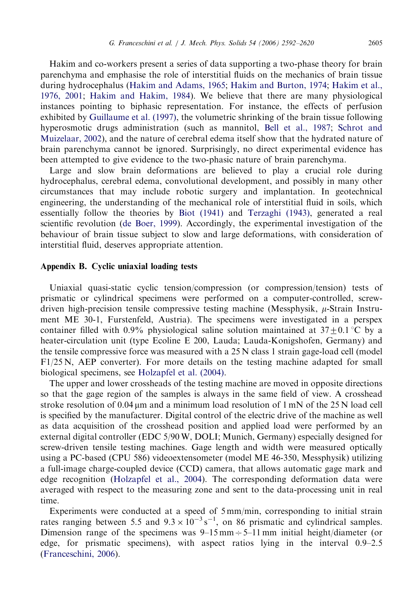[1976, 2001;](#page-27-0) [Hakim and Hakim, 1984\)](#page-27-0). We believe that there are many physiological instances pointing to biphasic representation. For instance, the effects of perfusion exhibited by [Guillaume et al. \(1997\),](#page-27-0) the volumetric shrinking of the brain tissue following hyperosmotic drugs administration (such as mannitol, [Bell et al., 1987](#page-26-0); [Schrot and](#page-28-0) [Muizelaar, 2002](#page-28-0)), and the nature of cerebral edema itself show that the hydrated nature of brain parenchyma cannot be ignored. Surprisingly, no direct experimental evidence has been attempted to give evidence to the two-phasic nature of brain parenchyma.

Large and slow brain deformations are believed to play a crucial role during hydrocephalus, cerebral edema, convolutional development, and possibly in many other circumstances that may include robotic surgery and implantation. In geotechnical engineering, the understanding of the mechanical role of interstitial fluid in soils, which essentially follow the theories by [Biot \(1941\)](#page-26-0) and [Terzaghi \(1943\),](#page-28-0) generated a real scientific revolution ([de Boer, 1999\)](#page-26-0). Accordingly, the experimental investigation of the behaviour of brain tissue subject to slow and large deformations, with consideration of interstitial fluid, deserves appropriate attention.

## Appendix B. Cyclic uniaxial loading tests

Uniaxial quasi-static cyclic tension/compression (or compression/tension) tests of prismatic or cylindrical specimens were performed on a computer-controlled, screwdriven high-precision tensile compressive testing machine (Messphysik,  $\mu$ -Strain Instrument ME 30-1, Furstenfeld, Austria). The specimens were investigated in a perspex container filled with 0.9% physiological saline solution maintained at  $37+0.1$  °C by a heater-circulation unit (type Ecoline E 200, Lauda; Lauda-Konigshofen, Germany) and the tensile compressive force was measured with a 25 N class 1 strain gage-load cell (model F1/25 N, AEP converter). For more details on the testing machine adapted for small biological specimens, see [Holzapfel et al. \(2004\)](#page-27-0).

The upper and lower crossheads of the testing machine are moved in opposite directions so that the gage region of the samples is always in the same field of view. A crosshead stroke resolution of  $0.04 \,\mu m$  and a minimum load resolution of  $1 \,\text{mN}$  of the 25 N load cell is specified by the manufacturer. Digital control of the electric drive of the machine as well as data acquisition of the crosshead position and applied load were performed by an external digital controller (EDC 5/90 W, DOLI; Munich, Germany) especially designed for screw-driven tensile testing machines. Gage length and width were measured optically using a PC-based (CPU 586) videoextensometer (model ME 46-350, Messphysik) utilizing a full-image charge-coupled device (CCD) camera, that allows automatic gage mark and edge recognition [\(Holzapfel et al., 2004\)](#page-27-0). The corresponding deformation data were averaged with respect to the measuring zone and sent to the data-processing unit in real time.

Experiments were conducted at a speed of 5 mm/min, corresponding to initial strain rates ranging between 5.5 and  $9.3 \times 10^{-3}$  s<sup>-1</sup>, on 86 prismatic and cylindrical samples. Dimension range of the specimens was  $9-15$  mm $\div 5-11$  mm initial height/diameter (or edge, for prismatic specimens), with aspect ratios lying in the interval 0.9–2.5 ([Franceschini, 2006](#page-27-0)).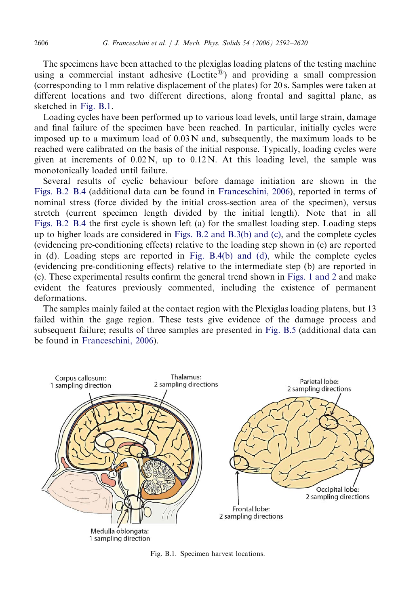The specimens have been attached to the plexiglas loading platens of the testing machine using a commercial instant adhesive (Loctite<sup>®</sup>) and providing a small compression (corresponding to 1 mm relative displacement of the plates) for 20 s. Samples were taken at different locations and two different directions, along frontal and sagittal plane, as sketched in Fig. B.1.

Loading cycles have been performed up to various load levels, until large strain, damage and final failure of the specimen have been reached. In particular, initially cycles were imposed up to a maximum load of 0.03 N and, subsequently, the maximum loads to be reached were calibrated on the basis of the initial response. Typically, loading cycles were given at increments of  $0.02 \text{ N}$ , up to  $0.12 \text{ N}$ . At this loading level, the sample was monotonically loaded until failure.

Several results of cyclic behaviour before damage initiation are shown in the [Figs. B.2–B.4](#page-15-0) (additional data can be found in [Franceschini, 2006](#page-27-0)), reported in terms of nominal stress (force divided by the initial cross-section area of the specimen), versus stretch (current specimen length divided by the initial length). Note that in all [Figs. B.2–B.4](#page-15-0) the first cycle is shown left (a) for the smallest loading step. Loading steps up to higher loads are considered in [Figs. B.2 and B.3\(b\) and \(c\)](#page-15-0), and the complete cycles (evidencing pre-conditioning effects) relative to the loading step shown in (c) are reported in (d). Loading steps are reported in [Fig. B.4\(b\) and \(d\)](#page-17-0), while the complete cycles (evidencing pre-conditioning effects) relative to the intermediate step (b) are reported in (c). These experimental results confirm the general trend shown in [Figs. 1 and 2](#page-3-0) and make evident the features previously commented, including the existence of permanent deformations.

The samples mainly failed at the contact region with the Plexiglas loading platens, but 13 failed within the gage region. These tests give evidence of the damage process and subsequent failure; results of three samples are presented in [Fig. B.5](#page-18-0) (additional data can be found in [Franceschini, 2006](#page-27-0)).



Fig. B.1. Specimen harvest locations.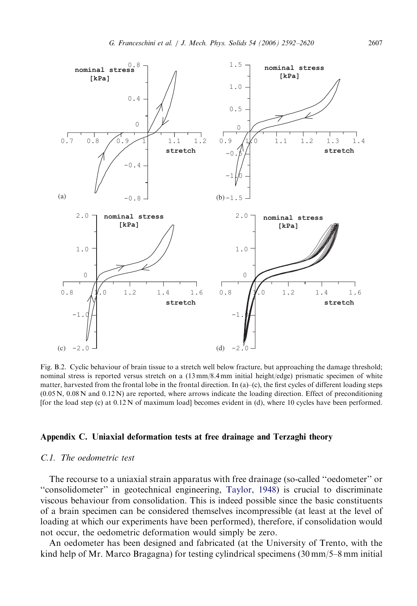<span id="page-15-0"></span>

Fig. B.2. Cyclic behaviour of brain tissue to a stretch well below fracture, but approaching the damage threshold; nominal stress is reported versus stretch on a (13 mm/8.4 mm initial height/edge) prismatic specimen of white matter, harvested from the frontal lobe in the frontal direction. In (a)–(c), the first cycles of different loading steps  $(0.05 \text{ N}, 0.08 \text{ N} \text{ and } 0.12 \text{ N})$  are reported, where arrows indicate the loading direction. Effect of preconditioning [for the load step (c) at 0.12 N of maximum load] becomes evident in (d), where 10 cycles have been performed.

# Appendix C. Uniaxial deformation tests at free drainage and Terzaghi theory

# C.1. The oedometric test

The recourse to a uniaxial strain apparatus with free drainage (so-called ''oedometer'' or ''consolidometer'' in geotechnical engineering, [Taylor, 1948](#page-28-0)) is crucial to discriminate viscous behaviour from consolidation. This is indeed possible since the basic constituents of a brain specimen can be considered themselves incompressible (at least at the level of loading at which our experiments have been performed), therefore, if consolidation would not occur, the oedometric deformation would simply be zero.

An oedometer has been designed and fabricated (at the University of Trento, with the kind help of Mr. Marco Bragagna) for testing cylindrical specimens (30 mm/5–8 mm initial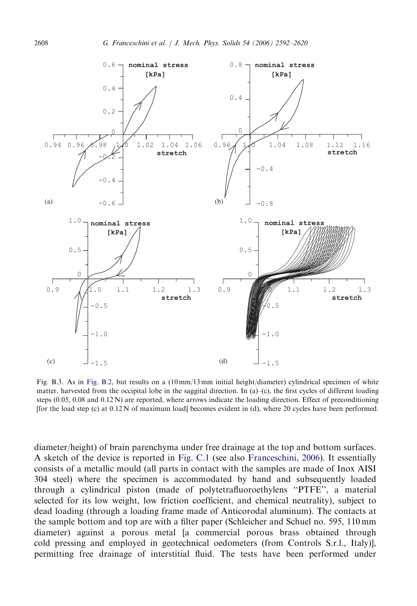

Fig. B.3. As in [Fig. B.2](#page-15-0), but results on a (10 mm/13 mm initial height/diameter) cylindrical specimen of white matter, harvested from the occipital lobe in the saggital direction. In  $(a)$ –(c), the first cycles of different loading steps (0.05, 0.08 and 0.12 N) are reported, where arrows indicate the loading direction. Effect of preconditioning [for the load step (c) at 0.12 N of maximum load] becomes evident in (d), where 20 cycles have been performed.

diameter/height) of brain parenchyma under free drainage at the top and bottom surfaces. A sketch of the device is reported in [Fig. C.1](#page-19-0) (see also [Franceschini, 2006\)](#page-27-0). It essentially consists of a metallic mould (all parts in contact with the samples are made of Inox AISI 304 steel) where the specimen is accommodated by hand and subsequently loaded through a cylindrical piston (made of polytetrafluoroethylens ''PTFE'', a material selected for its low weight, low friction coefficient, and chemical neutrality), subject to dead loading (through a loading frame made of Anticorodal aluminum). The contacts at the sample bottom and top are with a filter paper (Schleicher and Schuel no. 595, 110 mm diameter) against a porous metal [a commercial porous brass obtained through cold pressing and employed in geotechnical oedometers (from Controls S.r.l., Italy)], permitting free drainage of interstitial fluid. The tests have been performed under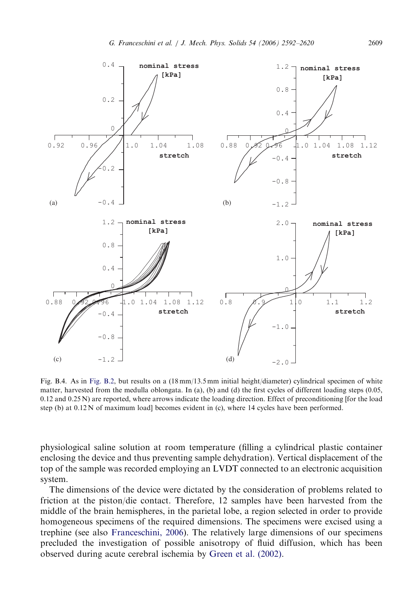<span id="page-17-0"></span>

Fig. B.4. As in [Fig. B.2](#page-15-0), but results on a (18 mm/13.5 mm initial height/diameter) cylindrical specimen of white matter, harvested from the medulla oblongata. In (a), (b) and (d) the first cycles of different loading steps (0.05, 0.12 and 0.25 N) are reported, where arrows indicate the loading direction. Effect of preconditioning [for the load step (b) at  $0.12$  N of maximum load] becomes evident in (c), where 14 cycles have been performed.

physiological saline solution at room temperature (filling a cylindrical plastic container enclosing the device and thus preventing sample dehydration). Vertical displacement of the top of the sample was recorded employing an LVDT connected to an electronic acquisition system.

The dimensions of the device were dictated by the consideration of problems related to friction at the piston/die contact. Therefore, 12 samples have been harvested from the middle of the brain hemispheres, in the parietal lobe, a region selected in order to provide homogeneous specimens of the required dimensions. The specimens were excised using a trephine (see also [Franceschini, 2006\)](#page-27-0). The relatively large dimensions of our specimens precluded the investigation of possible anisotropy of fluid diffusion, which has been observed during acute cerebral ischemia by [Green et al. \(2002\)](#page-27-0).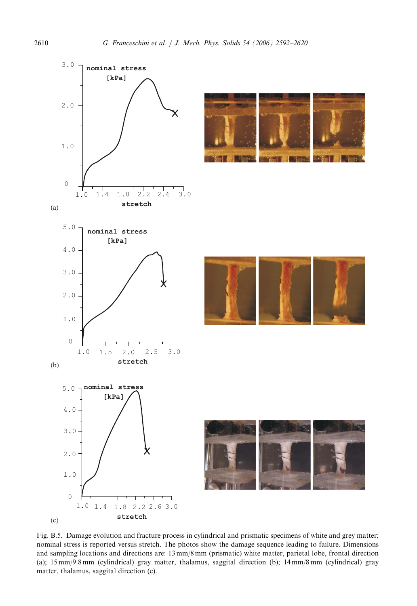<span id="page-18-0"></span>

Fig. B.5. Damage evolution and fracture process in cylindrical and prismatic specimens of white and grey matter; nominal stress is reported versus stretch. The photos show the damage sequence leading to failure. Dimensions and sampling locations and directions are: 13 mm/8 mm (prismatic) white matter, parietal lobe, frontal direction (a); 15 mm/9.8 mm (cylindrical) gray matter, thalamus, saggital direction (b); 14 mm/8 mm (cylindrical) gray matter, thalamus, saggital direction (c).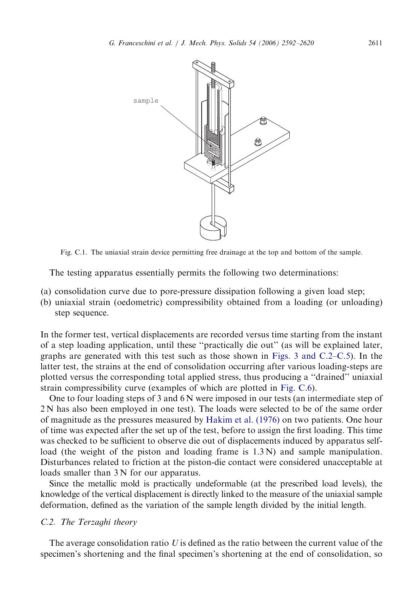<span id="page-19-0"></span>

Fig. C.1. The uniaxial strain device permitting free drainage at the top and bottom of the sample.

The testing apparatus essentially permits the following two determinations:

- (a) consolidation curve due to pore-pressure dissipation following a given load step;
- (b) uniaxial strain (oedometric) compressibility obtained from a loading (or unloading) step sequence.

In the former test, vertical displacements are recorded versus time starting from the instant of a step loading application, until these ''practically die out'' (as will be explained later, graphs are generated with this test such as those shown in [Figs. 3 and C.2–C.5](#page-20-0)). In the latter test, the strains at the end of consolidation occurring after various loading-steps are plotted versus the corresponding total applied stress, thus producing a ''drained'' uniaxial strain compressibility curve (examples of which are plotted in [Fig. C.6](#page-24-0)).

One to four loading steps of 3 and 6 N were imposed in our tests (an intermediate step of 2 N has also been employed in one test). The loads were selected to be of the same order of magnitude as the pressures measured by [Hakim et al. \(1976\)](#page-27-0) on two patients. One hour of time was expected after the set up of the test, before to assign the first loading. This time was checked to be sufficient to observe die out of displacements induced by apparatus selfload (the weight of the piston and loading frame is 1.3 N) and sample manipulation. Disturbances related to friction at the piston-die contact were considered unacceptable at loads smaller than 3 N for our apparatus.

Since the metallic mold is practically undeformable (at the prescribed load levels), the knowledge of the vertical displacement is directly linked to the measure of the uniaxial sample deformation, defined as the variation of the sample length divided by the initial length.

## C.2. The Terzaghi theory

The average consolidation ratio  $U$  is defined as the ratio between the current value of the specimen's shortening and the final specimen's shortening at the end of consolidation, so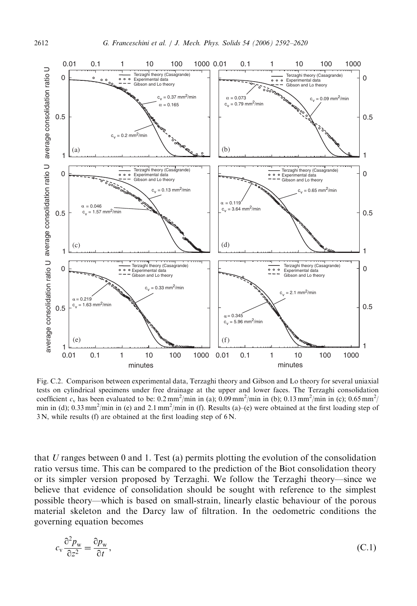<span id="page-20-0"></span>

Fig. C.2. Comparison between experimental data, Terzaghi theory and Gibson and Lo theory for several uniaxial tests on cylindrical specimens under free drainage at the upper and lower faces. The Terzaghi consolidation coefficient  $c_v$  has been evaluated to be: 0.2 mm<sup>2</sup>/min in (a); 0.09 mm<sup>2</sup>/min in (b); 0.13 mm<sup>2</sup>/min in (c); 0.65 mm<sup>2</sup>/ min in (d);  $0.33 \text{ mm}^2/\text{min}$  in (e) and  $2.1 \text{ mm}^2/\text{min}$  in (f). Results (a)–(e) were obtained at the first loading step of 3 N, while results (f) are obtained at the first loading step of 6 N.

that  $U$  ranges between 0 and 1. Test (a) permits plotting the evolution of the consolidation ratio versus time. This can be compared to the prediction of the Biot consolidation theory or its simpler version proposed by Terzaghi. We follow the Terzaghi theory—since we believe that evidence of consolidation should be sought with reference to the simplest possible theory—which is based on small-strain, linearly elastic behaviour of the porous material skeleton and the Darcy law of filtration. In the oedometric conditions the governing equation becomes

$$
c_{\rm v} \frac{\partial^2 p_{\rm w}}{\partial z^2} = \frac{\partial p_{\rm w}}{\partial t},\tag{C.1}
$$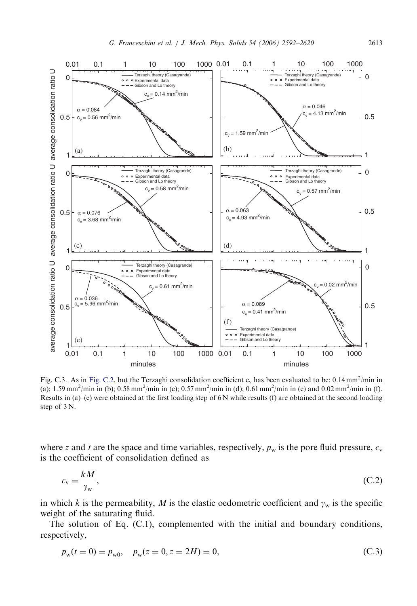<span id="page-21-0"></span>

Fig. C.3. As in [Fig. C.2,](#page-20-0) but the Terzaghi consolidation coefficient  $c_v$  has been evaluated to be: 0.14 mm<sup>2</sup>/min in (a); 1.59 mm<sup>2</sup>/min in (b); 0.58 mm<sup>2</sup>/min in (c); 0.57 mm<sup>2</sup>/min in (d); 0.61 mm<sup>2</sup>/min in (e) and 0.02 mm<sup>2</sup>/min in (f). Results in (a)–(e) were obtained at the first loading step of 6 N while results (f) are obtained at the second loading step of 3 N.

where z and t are the space and time variables, respectively,  $p_w$  is the pore fluid pressure,  $c_v$ is the coefficient of consolidation defined as

$$
c_{\rm v} = \frac{kM}{\gamma_{\rm w}},\tag{C.2}
$$

in which k is the permeability, M is the elastic oedometric coefficient and  $\gamma_w$  is the specific weight of the saturating fluid.

The solution of Eq. (C.1), complemented with the initial and boundary conditions, respectively,

$$
p_w(t=0) = p_{w0}, \quad p_w(z=0, z=2H) = 0,
$$
\n(C.3)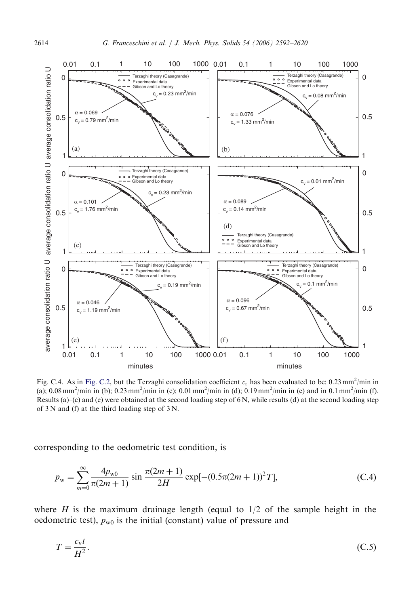<span id="page-22-0"></span>

Fig. C.4. As in [Fig. C.2](#page-20-0), but the Terzaghi consolidation coefficient  $c<sub>v</sub>$  has been evaluated to be: 0.23 mm<sup>2</sup>/min in (a); 0.08 mm<sup>2</sup>/min in (b); 0.23 mm<sup>2</sup>/min in (c); 0.01 mm<sup>2</sup>/min in (d); 0.19 mm<sup>2</sup>/min in (e) and in 0.1 mm<sup>2</sup>/min (f). Results (a)–(c) and (e) were obtained at the second loading step of 6 N, while results (d) at the second loading step of 3 N and (f) at the third loading step of 3 N.

corresponding to the oedometric test condition, is

$$
p_{\rm w} = \sum_{m=0}^{\infty} \frac{4p_{\rm w0}}{\pi(2m+1)} \sin \frac{\pi(2m+1)}{2H} \exp[-(0.5\pi(2m+1))^2 T],
$$
 (C.4)

where H is the maximum drainage length (equal to  $1/2$  of the sample height in the oedometric test),  $p_{w0}$  is the initial (constant) value of pressure and

$$
T = \frac{c_v t}{H^2}.\tag{C.5}
$$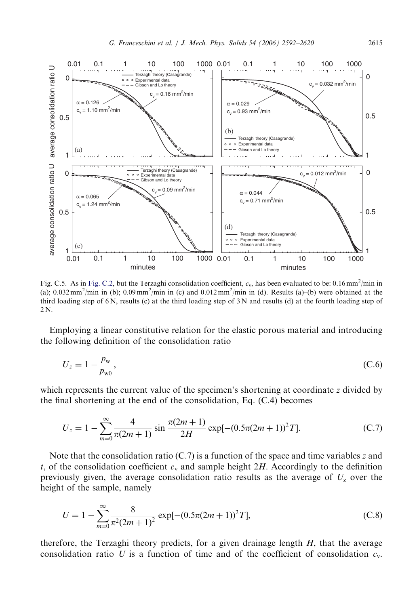<span id="page-23-0"></span>

Fig. C.5. As in [Fig. C.2](#page-20-0), but the Terzaghi consolidation coefficient,  $c_v$ , has been evaluated to be: 0.16 mm<sup>2</sup>/min in (a);  $0.032 \text{ mm}^2/\text{min}$  in (b);  $0.09 \text{ mm}^2/\text{min}$  in (c) and  $0.012 \text{ mm}^2/\text{min}$  in (d). Results (a)–(b) were obtained at the third loading step of 6 N, results (c) at the third loading step of 3 N and results (d) at the fourth loading step of 2 N.

Employing a linear constitutive relation for the elastic porous material and introducing the following definition of the consolidation ratio

$$
U_z = 1 - \frac{p_w}{p_{w0}},\tag{C.6}
$$

which represents the current value of the specimen's shortening at coordinate z divided by the final shortening at the end of the consolidation, Eq. (C.4) becomes

$$
U_z = 1 - \sum_{m=0}^{\infty} \frac{4}{\pi (2m+1)} \sin \frac{\pi (2m+1)}{2H} \exp[-(0.5\pi (2m+1))^2 T].
$$
 (C.7)

Note that the consolidation ratio (C.7) is a function of the space and time variables  $z$  and t, of the consolidation coefficient  $c<sub>y</sub>$  and sample height 2H. Accordingly to the definition previously given, the average consolidation ratio results as the average of  $U_z$  over the height of the sample, namely

$$
U = 1 - \sum_{m=0}^{\infty} \frac{8}{\pi^2 (2m+1)^2} \exp[-(0.5\pi(2m+1))^2 T],
$$
 (C.8)

therefore, the Terzaghi theory predicts, for a given drainage length  $H$ , that the average consolidation ratio U is a function of time and of the coefficient of consolidation  $c_v$ .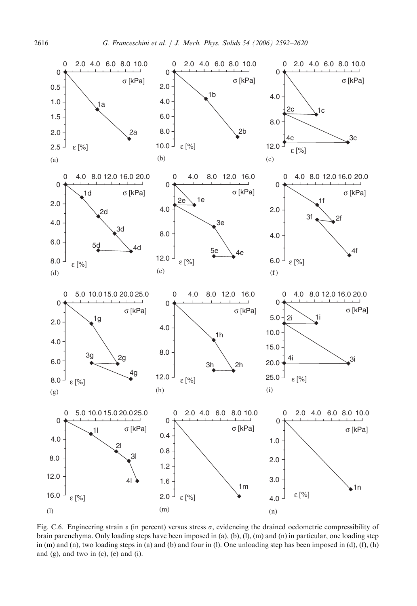<span id="page-24-0"></span>

Fig. C.6. Engineering strain  $\varepsilon$  (in percent) versus stress  $\sigma$ , evidencing the drained oedometric compressibility of brain parenchyma. Only loading steps have been imposed in (a), (b), (l), (m) and (n) in particular, one loading step in (m) and (n), two loading steps in (a) and (b) and four in (l). One unloading step has been imposed in (d),  $(f)$ , (h) and (g), and two in (c), (e) and (i).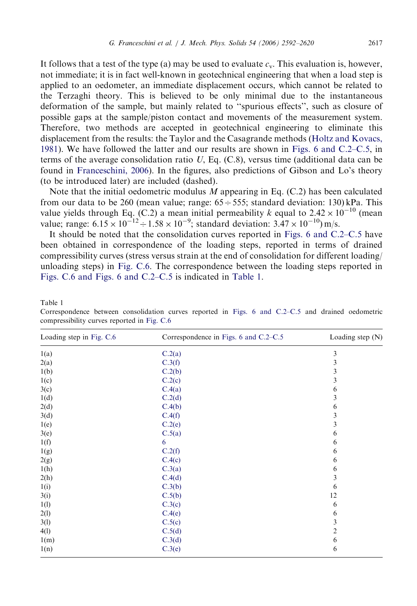It follows that a test of the type (a) may be used to evaluate  $c_v$ . This evaluation is, however, not immediate; it is in fact well-known in geotechnical engineering that when a load step is applied to an oedometer, an immediate displacement occurs, which cannot be related to the Terzaghi theory. This is believed to be only minimal due to the instantaneous deformation of the sample, but mainly related to ''spurious effects'', such as closure of possible gaps at the sample/piston contact and movements of the measurement system. Therefore, two methods are accepted in geotechnical engineering to eliminate this displacement from the results: the Taylor and the Casagrande methods ([Holtz and Kovacs,](#page-27-0) [1981](#page-27-0)). We have followed the latter and our results are shown in [Figs. 6 and C.2–C.5,](#page-9-0) in terms of the average consolidation ratio U, Eq.  $(C.8)$ , versus time (additional data can be found in [Franceschini, 2006\)](#page-27-0). In the figures, also predictions of Gibson and Lo's theory (to be introduced later) are included (dashed).

Note that the initial oedometric modulus  $M$  appearing in Eq. (C.2) has been calculated from our data to be 260 (mean value; range:  $65 \div 555$ ; standard deviation: 130) kPa. This value yields through Eq. (C.2) a mean initial permeability k equal to  $2.42 \times 10^{-10}$  (mean value; range:  $6.15 \times 10^{-12} \div 1.58 \times 10^{-9}$ ; standard deviation:  $3.47 \times 10^{-10}$ ) m/s.

It should be noted that the consolidation curves reported in [Figs. 6 and C.2–C.5](#page-9-0) have been obtained in correspondence of the loading steps, reported in terms of drained compressibility curves (stress versus strain at the end of consolidation for different loading/ unloading steps) in [Fig. C.6.](#page-24-0) The correspondence between the loading steps reported in [Figs. C.6 and Figs. 6 and C.2–C.5](#page-9-0) is indicated in Table 1.

Table 1

Correspondence between consolidation curves reported in [Figs. 6 and C.2–C.5](#page-9-0) and drained oedometric compressibility curves reported in [Fig. C.6](#page-24-0)

| Loading step in Fig. C.6 | Correspondence in Figs. 6 and C.2–C.5 | Loading step $(N)$ |
|--------------------------|---------------------------------------|--------------------|
| l(a)                     | C.2(a)                                | 3                  |
| 2(a)                     | C.3(f)                                | 3                  |
| 1(b)                     | C.2(b)                                | 3                  |
| l(c)                     | C.2(c)                                | 3                  |
| 3(c)                     | C.4(a)                                | 6                  |
| 1(d)                     | C.2(d)                                | 3                  |
| 2(d)                     | C.4(b)                                | 6                  |
| 3(d)                     | C.4(f)                                | 3                  |
| l(e)                     | C.2(e)                                | $\mathfrak z$      |
| 3(e)                     | C.5(a)                                | 6                  |
| 1(f)                     | 6                                     | 6                  |
| l(g)                     | C.2(f)                                | 6                  |
| 2(g)                     | C.4(c)                                | 6                  |
| 1(h)                     | C.3(a)                                | 6                  |
| 2(h)                     | C.4(d)                                | 3                  |
| 1(i)                     | C.3(b)                                | 6                  |
| 3(i)                     | C.5(b)                                | 12                 |
| 1(1)                     | C.3(c)                                | 6                  |
| 2(1)                     | C.4(e)                                | 6                  |
| 3(1)                     | C.5(c)                                | 3                  |
| 4(1)                     | C.5(d)                                | $\overline{c}$     |
| 1(m)                     | C.3(d)                                | 6                  |
| l(n)                     | C.3(e)                                | 6                  |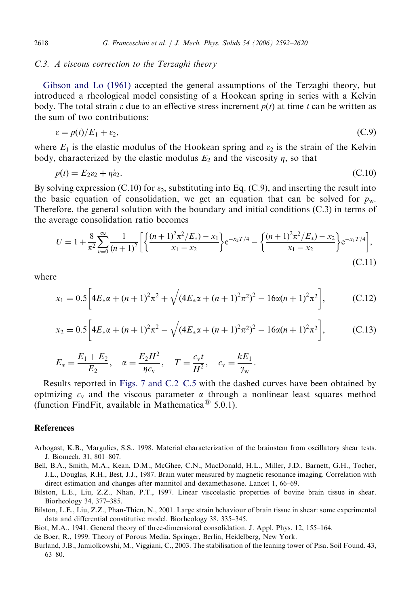#### <span id="page-26-0"></span>C.3. A viscous correction to the Terzaghi theory

[Gibson and Lo \(1961\)](#page-27-0) accepted the general assumptions of the Terzaghi theory, but introduced a rheological model consisting of a Hookean spring in series with a Kelvin body. The total strain  $\varepsilon$  due to an effective stress increment  $p(t)$  at time t can be written as the sum of two contributions:

$$
\varepsilon = p(t)/E_1 + \varepsilon_2,\tag{C.9}
$$

where  $E_1$  is the elastic modulus of the Hookean spring and  $\varepsilon_2$  is the strain of the Kelvin body, characterized by the elastic modulus  $E_2$  and the viscosity  $\eta$ , so that

$$
p(t) = E_2 \varepsilon_2 + \eta \dot{\varepsilon}_2. \tag{C.10}
$$

By solving expression (C.10) for  $\varepsilon_2$ , substituting into Eq. (C.9), and inserting the result into the basic equation of consolidation, we get an equation that can be solved for  $p_w$ . Therefore, the general solution with the boundary and initial conditions (C.3) in terms of the average consolidation ratio becomes

$$
U = 1 + \frac{8}{\pi^2} \sum_{n=0}^{\infty} \frac{1}{(n+1)^2} \left[ \left\{ \frac{(n+1)^2 \pi^2 / E_* - x_1}{x_1 - x_2} \right\} e^{-x_2 T/4} - \left\{ \frac{(n+1)^2 \pi^2 / E_* - x_2}{x_1 - x_2} \right\} e^{-x_1 T/4} \right],
$$
\n(C.11)

where

$$
x_1 = 0.5 \left[ 4E_* \alpha + (n+1)^2 \pi^2 + \sqrt{(4E_* \alpha + (n+1)^2 \pi^2)^2 - 16\alpha (n+1)^2 \pi^2} \right],
$$
 (C.12)

$$
x_2 = 0.5 \left[ 4E_* \alpha + (n+1)^2 \pi^2 - \sqrt{(4E_* \alpha + (n+1)^2 \pi^2)^2 - 16\alpha (n+1)^2 \pi^2} \right],
$$
 (C.13)

$$
E_* = \frac{E_1 + E_2}{E_2}
$$
,  $\alpha = \frac{E_2 H^2}{\eta c_v}$ ,  $T = \frac{c_v t}{H^2}$ ,  $c_v = \frac{kE_1}{\gamma_w}$ .

Results reported in [Figs. 7 and C.2–C.5](#page-10-0) with the dashed curves have been obtained by optmizing  $c<sub>v</sub>$  and the viscous parameter  $\alpha$  through a nonlinear least squares method (function FindFit, available in Mathematica<sup>®</sup> 5.0.1).

## References

- Arbogast, K.B., Margulies, S.S., 1998. Material characterization of the brainstem from oscillatory shear tests. J. Biomech. 31, 801–807.
- Bell, B.A., Smith, M.A., Kean, D.M., McGhee, C.N., MacDonald, H.L., Miller, J.D., Barnett, G.H., Tocher, J.L., Douglas, R.H., Best, J.J., 1987. Brain water measured by magnetic resonance imaging. Correlation with direct estimation and changes after mannitol and dexamethasone. Lancet 1, 66–69.
- Bilston, L.E., Liu, Z.Z., Nhan, P.T., 1997. Linear viscoelastic properties of bovine brain tissue in shear. Biorheology 34, 377–385.
- Bilston, L.E., Liu, Z.Z., Phan-Thien, N., 2001. Large strain behaviour of brain tissue in shear: some experimental data and differential constitutive model. Biorheology 38, 335–345.
- Biot, M.A., 1941. General theory of three-dimensional consolidation. J. Appl. Phys. 12, 155–164.
- de Boer, R., 1999. Theory of Porous Media. Springer, Berlin, Heidelberg, New York.
- Burland, J.B., Jamiolkowshi, M., Viggiani, C., 2003. The stabilisation of the leaning tower of Pisa. Soil Found. 43, 63–80.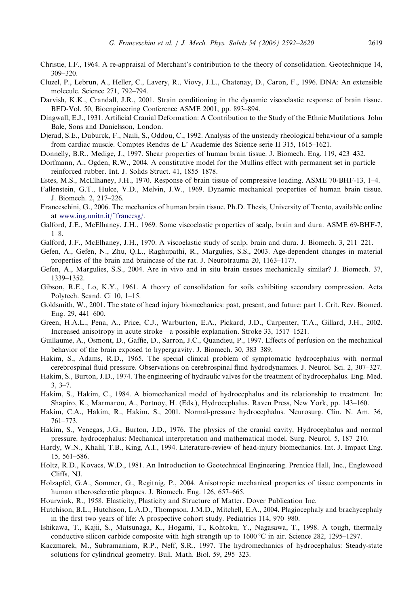- <span id="page-27-0"></span>Christie, I.F., 1964. A re-appraisal of Merchant's contribution to the theory of consolidation. Geotechnique 14, 309–320.
- Cluzel, P., Lebrun, A., Heller, C., Lavery, R., Viovy, J.L., Chatenay, D., Caron, F., 1996. DNA: An extensible molecule. Science 271, 792–794.
- Darvish, K.K., Crandall, J.R., 2001. Strain conditioning in the dynamic viscoelastic response of brain tissue. BED-Vol. 50, Bioengineering Conference ASME 2001, pp. 893–894.
- Dingwall, E.J., 1931. Artificial Cranial Deformation: A Contribution to the Study of the Ethnic Mutilations. John Bale, Sons and Danielsson, London.
- Djerad, S.E., Duburck, F., Naili, S., Oddou, C., 1992. Analysis of the unsteady rheological behaviour of a sample from cardiac muscle. Comptes Rendus de L' Academie des Science serie II 315, 1615–1621.
- Donnelly, B.R., Medige, J., 1997. Shear properties of human brain tissue. J. Biomech. Eng. 119, 423–432.
- Dorfmann, A., Ogden, R.W., 2004. A constitutive model for the Mullins effect with permanent set in particle reinforced rubber. Int. J. Solids Struct. 41, 1855–1878.
- Estes, M.S., McElhaney, J.H., 1970. Response of brain tissue of compressive loading. ASME 70-BHF-13, 1–4.
- Fallenstein, G.T., Hulce, V.D., Melvin, J.W., 1969. Dynamic mechanical properties of human brain tissue. J. Biomech. 2, 217–226.
- Franceschini, G., 2006. The mechanics of human brain tissue. Ph.D. Thesis, University of Trento, available online at [www.ing.unitn.it/~francesg/.](http://www.ing.unitn.it/~francesg/)
- Galford, J.E., McElhaney, J.H., 1969. Some viscoelastic properties of scalp, brain and dura. ASME 69-BHF-7, 1–8.
- Galford, J.F., McElhaney, J.H., 1970. A viscoelastic study of scalp, brain and dura. J. Biomech. 3, 211–221.
- Gefen, A., Gefen, N., Zhu, Q.L., Raghupathi, R., Margulies, S.S., 2003. Age-dependent changes in material properties of the brain and braincase of the rat. J. Neurotrauma 20, 1163–1177.
- Gefen, A., Margulies, S.S., 2004. Are in vivo and in situ brain tissues mechanically similar? J. Biomech. 37, 1339–1352.
- Gibson, R.E., Lo, K.Y., 1961. A theory of consolidation for soils exhibiting secondary compression. Acta Polytech. Scand. Ci 10, 1–15.
- Goldsmith, W., 2001. The state of head injury biomechanics: past, present, and future: part 1. Crit. Rev. Biomed. Eng. 29, 441–600.
- Green, H.A.L., Pena, A., Price, C.J., Warburton, E.A., Pickard, J.D., Carpenter, T.A., Gillard, J.H., 2002. Increased anisotropy in acute stroke—a possible explanation. Stroke 33, 1517–1521.
- Guillaume, A., Osmont, D., Gaffie, D., Sarron, J.C., Quandieu, P., 1997. Effects of perfusion on the mechanical behavior of the brain exposed to hypergravity. J. Biomech. 30, 383–389.
- Hakim, S., Adams, R.D., 1965. The special clinical problem of symptomatic hydrocephalus with normal cerebrospinal fluid pressure. Observations on cerebrospinal fluid hydrodynamics. J. Neurol. Sci. 2, 307–327.
- Hakim, S., Burton, J.D., 1974. The engineering of hydraulic valves for the treatment of hydrocephalus. Eng. Med. 3, 3–7.
- Hakim, S., Hakim, C., 1984. A biomechanical model of hydrocephalus and its relationship to treatment. In: Shapiro, K., Marmarou, A., Portnoy, H. (Eds.), Hydrocephalus. Raven Press, New York, pp. 143–160.
- Hakim, C.A., Hakim, R., Hakim, S., 2001. Normal-pressure hydrocephalus. Neurosurg. Clin. N. Am. 36, 761–773.
- Hakim, S., Venegas, J.G., Burton, J.D., 1976. The physics of the cranial cavity, Hydrocephalus and normal pressure. hydrocephalus: Mechanical interpretation and mathematical model. Surg. Neurol. 5, 187–210.
- Hardy, W.N., Khalil, T.B., King, A.I., 1994. Literature-review of head-injury biomechanics. Int. J. Impact Eng. 15, 561–586.
- Holtz, R.D., Kovacs, W.D., 1981. An Introduction to Geotechnical Engineering. Prentice Hall, Inc., Englewood Cliffs, NJ.
- Holzapfel, G.A., Sommer, G., Regitnig, P., 2004. Anisotropic mechanical properties of tissue components in human atherosclerotic plaques. J. Biomech. Eng. 126, 657–665.
- Hourwink, R., 1958. Elasticity, Plasticity and Structure of Matter. Dover Publication Inc.
- Hutchison, B.L., Hutchison, L.A.D., Thompson, J.M.D., Mitchell, E.A., 2004. Plagiocephaly and brachycephaly in the first two years of life: A prospective cohort study. Pediatrics 114, 970–980.
- Ishikawa, T., Kajii, S., Matsunaga, K., Hogami, T., Kohtoku, Y., Nagasawa, T., 1998. A tough, thermally conductive silicon carbide composite with high strength up to  $1600^{\circ}$ C in air. Science 282, 1295–1297.
- Kaczmarek, M., Subramaniam, R.P., Neff, S.R., 1997. The hydromechanics of hydrocephalus: Steady-state solutions for cylindrical geometry. Bull. Math. Biol. 59, 295–323.